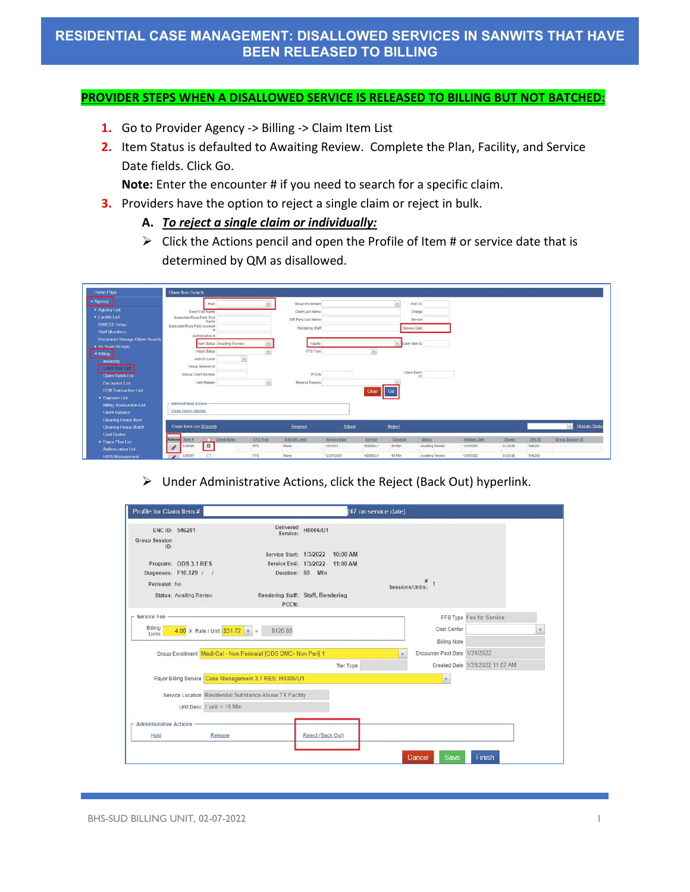#### **PROVIDER STEPS WHEN A DISALLOWED SERVICE IS RELEASED TO BILLING BUT NOT BATCHED:**

- **1.** Go to Provider Agency -> Billing -> Claim Item List
- **2.** Item Status is defaulted to Awaiting Review. Complete the Plan, Facility, and Service Date fields. Click Go.

**Note:** Enter the encounter # if you need to search for a specific claim.

- **3.** Providers have the option to reject a single claim or reject in bulk.
	- **A.** *To reject a single claim or individually:*
	- $\triangleright$  Click the Actions pencil and open the Profile of Item # or service date that is determined by QM as disallowed.

| Home Page                             | Claim Item Search                                 |                        |                      |                          |                     |                    |                                  |                     |                    |                        |                               |
|---------------------------------------|---------------------------------------------------|------------------------|----------------------|--------------------------|---------------------|--------------------|----------------------------------|---------------------|--------------------|------------------------|-------------------------------|
| * Agency                              | Plan                                              |                        | Group Enrollment     |                          |                     | $\mathcal{R}$      | ENC ID                           |                     |                    |                        |                               |
| > Agency List                         | Client First Name                                 |                        | Client Last Name     |                          |                     |                    | Charge                           |                     |                    |                        |                               |
| Facility List                         | Subscriber/Resp Party First<br>Name               |                        | S/R Party Last Name  |                          |                     |                    | Service                          |                     |                    |                        |                               |
| <b>DIRECT Setup</b>                   | Subscriber/Resp Party Account                     |                        | Rendering Staff      |                          |                     |                    | Service Date                     |                     |                    |                        |                               |
| <b>Staff Members</b>                  | Authorization #                                   |                        |                      |                          |                     |                    |                                  |                     |                    |                        |                               |
| <b>Document Storage Client Search</b> | Item Status Awaiting Review                       |                        | Facility             |                          |                     |                    | Claim Item ID                    |                     |                    |                        |                               |
| Tx Team Groups                        | Adjud Status                                      |                        | FFS Type             |                          |                     |                    |                                  |                     |                    |                        |                               |
| · Billing                             | ÷<br>Add-On Level                                 |                        |                      |                          | $\mathcal{L}$       |                    |                                  |                     |                    |                        |                               |
| Invoicing                             | Group Session ID                                  |                        |                      |                          |                     |                    |                                  |                     |                    |                        |                               |
| Claim Item List                       |                                                   |                        |                      |                          |                     |                    | Claim Batch                      |                     |                    |                        |                               |
| <b>Claim Batch List</b>               | Unique Client Number                              |                        | PCCN                 |                          |                     |                    | ID                               |                     |                    |                        |                               |
| <b>Encounter List</b>                 | Hold Reason                                       | $\mathbf{v}$           | Reverse Reason       |                          |                     |                    |                                  |                     |                    |                        |                               |
| <b>EOB Transaction List</b>           |                                                   |                        |                      |                          | Clear               | Go                 |                                  |                     |                    |                        |                               |
| Payment List                          |                                                   |                        |                      |                          |                     |                    |                                  |                     |                    |                        |                               |
| <b>Billing Transaction List</b>       | <b>Administrative Actions</b>                     |                        |                      |                          |                     |                    |                                  |                     |                    |                        |                               |
| <b>Client Balance</b>                 | Create Agency Batches                             |                        |                      |                          |                     |                    |                                  |                     |                    |                        |                               |
| <b>Clearing House Item</b>            |                                                   |                        |                      |                          |                     |                    |                                  |                     |                    |                        |                               |
| <b>Clearing House Batch</b>           | Claim Item List (Export)                          |                        | Reverse              | <b>Adjust</b>            |                     | Reject             |                                  |                     |                    |                        | <b>Update Statu</b><br>$\sim$ |
| <b>Cost Center</b>                    | Actions                                           |                        |                      |                          |                     |                    |                                  | <b>Release Date</b> |                    |                        |                               |
| Payor Plan List                       | Client Name<br>Item #<br>$\blacksquare$<br>529296 | <b>FFS Type</b><br>FFS | Add-On Level<br>None | Service Date<br>1/3/2022 | Service<br>H0006/U1 | Duration<br>60 Min | <b>Status</b><br>Awaiting Review | 1/31/2022           | Charge<br>\$126.88 | <b>ENCID</b><br>546281 | <b>Group Session ID</b>       |
| <b>Authorization List</b>             | v                                                 |                        |                      |                          |                     |                    |                                  |                     |                    |                        |                               |
| <b>H835 Management</b>                | $\Box$<br>529297<br>۸                             | FFS                    | None                 | 12/31/2021               | <b>H0005/U1</b>     | 60 Min             | Awaiting Review                  | 1/31/2022           | \$126.88           | 546282                 |                               |

Under Administrative Actions, click the Reject (Back Out) hyperlink.

|                                               | Profile for Claim Item #       |                                                                 |                  |                  | (47 on service date) |                               |                                 |  |
|-----------------------------------------------|--------------------------------|-----------------------------------------------------------------|------------------|------------------|----------------------|-------------------------------|---------------------------------|--|
| ENC ID: 546281<br><b>Group Session</b><br>ID: |                                | <b>Delivered</b><br>Service:                                    | H0006/U1         |                  |                      |                               |                                 |  |
|                                               |                                | Service Start: 1/3/2022                                         |                  | $10:00$ AM       |                      |                               |                                 |  |
| Program: ODS 3.1 RES                          |                                | Service End: 1/3/2022                                           |                  | 11:00 AM         |                      |                               |                                 |  |
| Diagnoses: F10.129 / /                        |                                |                                                                 | Duration: 60 Min |                  |                      |                               |                                 |  |
| Perinatal: No                                 |                                |                                                                 |                  |                  | Sessions/Units:      |                               |                                 |  |
|                                               | <b>Status: Awaiting Review</b> | Rendering Staff: Staff, Rendering<br>PCCN:                      |                  |                  |                      |                               |                                 |  |
|                                               |                                |                                                                 |                  |                  |                      |                               | FFS Type Fee for Service        |  |
|                                               |                                |                                                                 |                  |                  |                      |                               |                                 |  |
| Billing<br><b>Units</b>                       | 4.00 X Rate / Unit $$31.72$ =  | \$126.88                                                        |                  |                  |                      | Cost Center                   |                                 |  |
|                                               |                                |                                                                 |                  |                  |                      | <b>Billing Note</b>           |                                 |  |
|                                               |                                | Group Enrollment Medi-Cal - Non Perinatal JODS DMC- Non Peril 1 |                  |                  |                      | Encounter Post Date 1/31/2022 |                                 |  |
|                                               |                                |                                                                 |                  | <b>Tier Type</b> |                      |                               | Created Date 1/31/2022 11:07 AM |  |
|                                               |                                | Payor Billing Service Case Management 3.1 RES: H0006/U1         |                  |                  |                      | $\tau$                        |                                 |  |
| <b>Service Fee</b>                            |                                | Service Location Residential Substance Abuse TX Facility        |                  |                  |                      |                               |                                 |  |
|                                               | Unit Desc $1$ unit = 15 Min    |                                                                 |                  |                  |                      |                               |                                 |  |
| <b>Administrative Actions</b>                 |                                |                                                                 |                  |                  |                      |                               |                                 |  |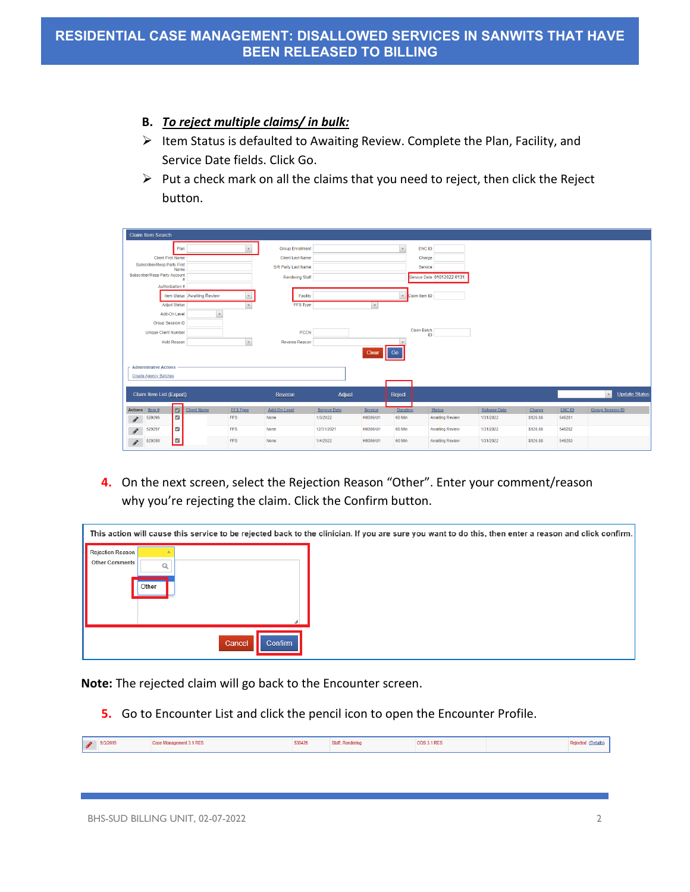#### **B.** *To reject multiple claims/ in bulk:*

- $\triangleright$  Item Status is defaulted to Awaiting Review. Complete the Plan, Facility, and Service Date fields. Click Go.
- $\triangleright$  Put a check mark on all the claims that you need to reject, then click the Reject button.

| Claim Item Search                                                                                                                                               |                                                                                                     |                                 |                                                  |                                                                            |                                  |                      |                        |                                        |
|-----------------------------------------------------------------------------------------------------------------------------------------------------------------|-----------------------------------------------------------------------------------------------------|---------------------------------|--------------------------------------------------|----------------------------------------------------------------------------|----------------------------------|----------------------|------------------------|----------------------------------------|
| Plan<br><b>Client First Name</b><br>Subscriber/Resp Party First<br>Name<br>Subscriber/Resp Party Account<br>Ħ<br>Authorization #<br>Item Status Awaiting Review | <b>Group Enrollment</b><br><b>Client Last Name</b><br>S/R Party Last Name<br><b>Rendering Staff</b> | Facility                        |                                                  | ENC ID<br>Charge<br>Service<br>Service Date 01012022:0131<br>Claim Item ID |                                  |                      |                        |                                        |
| <b>Adjud Status</b><br>Add-On Level<br>$\mathbf{v}$<br><b>Group Session ID</b><br><b>Unique Client Number</b><br><b>Hold Reason</b>                             | $\mathbf{v}$<br>Reverse Reason                                                                      | FFS Type<br>PCCN                | Clear<br>Go                                      | Claim Batch<br>ID                                                          |                                  |                      |                        |                                        |
| <b>Administrative Actions</b><br><b>Create Agency Batches</b>                                                                                                   |                                                                                                     |                                 |                                                  |                                                                            |                                  |                      |                        |                                        |
| Claim Item List (Export)                                                                                                                                        | Reverse                                                                                             | Adjust                          | Reject                                           |                                                                            |                                  |                      |                        | <b>Update Status</b><br>$\mathbf{v}$ . |
| $\boxed{2}$<br>Actions Item #<br><b>Client Name</b><br>$\blacksquare$<br>529296<br>$\boldsymbol{\mathscr{E}}$                                                   | <b>FFS Type</b><br><b>Add-On Level</b><br>FFS<br>None                                               | <b>Service Date</b><br>1/3/2022 | <b>Duration</b><br>Service<br>H0006/U1<br>60 Min | <b>Status</b><br><b>Awaiting Review</b>                                    | <b>Release Date</b><br>1/31/2022 | Charge<br>\$126.88   | <b>ENCID</b><br>546281 | <b>Group Session ID</b>                |
| $\overline{\omega}$<br>529297<br>$\label{eq:1} \pmb{\mathscr{E}}$<br>$\blacksquare$<br>529298<br>i.<br>Correspondente                                           | FFS<br>None<br><b>FFS</b><br>None                                                                   | 12/31/2021<br>1/4/2022          | H0006/U1<br>60 Min<br>60 Min<br>H0006/U1         | <b>Awaiting Review</b><br><b>Awaiting Review</b>                           | 1/31/2022<br>1/31/2022           | \$126.88<br>\$126.88 | 546282<br>546283       |                                        |

**4.** On the next screen, select the Rejection Reason "Other". Enter your comment/reason why you're rejecting the claim. Click the Confirm button.

|                         |                          | This action will cause this service to be rejected back to the clinician. If you are sure you want to do this, then enter a reason and click confirm. |  |
|-------------------------|--------------------------|-------------------------------------------------------------------------------------------------------------------------------------------------------|--|
| Rejection Reason        |                          |                                                                                                                                                       |  |
| Other Comments<br>Other |                          |                                                                                                                                                       |  |
|                         |                          |                                                                                                                                                       |  |
|                         | Cancel<br><b>Confirm</b> |                                                                                                                                                       |  |

**Note:** The rejected claim will go back to the Encounter screen.

**5.** Go to Encounter List and click the pencil icon to open the Encounter Profile.

| $\overline{\phantom{a}}$ | 9/3/2019 | <b>CONTRACTOR</b> AND INCOME.<br>ement 3.1 RES | 530426 | Renderin | 3.1 RES |  |  |
|--------------------------|----------|------------------------------------------------|--------|----------|---------|--|--|
|--------------------------|----------|------------------------------------------------|--------|----------|---------|--|--|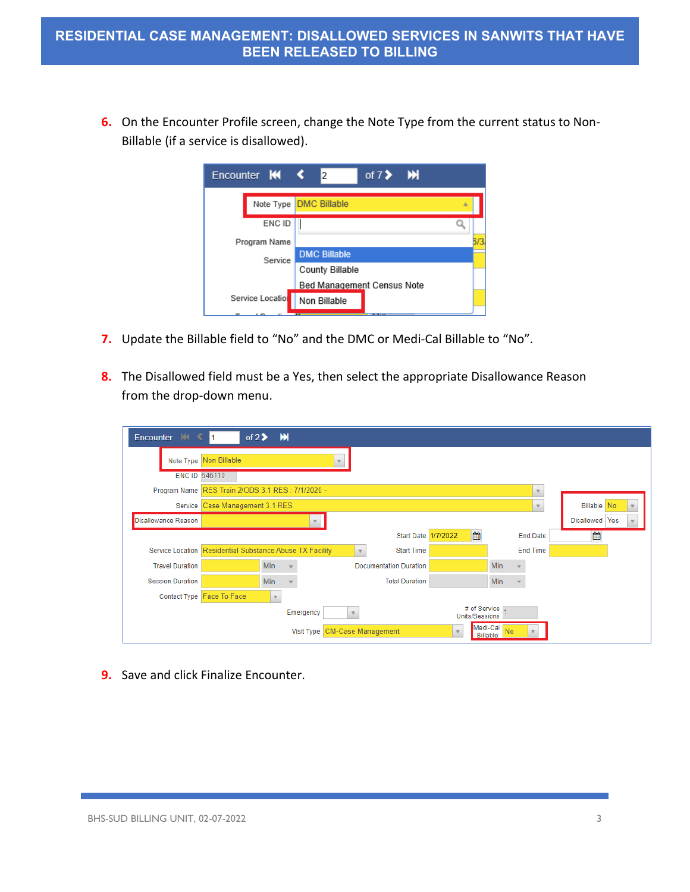**6.** On the Encounter Profile screen, change the Note Type from the current status to Non-Billable (if a service is disallowed).

| Encounter $M \leq$            | 12                         | of 7> M        |   |     |
|-------------------------------|----------------------------|----------------|---|-----|
| Note Type <b>DMC Billable</b> |                            |                | 五 |     |
| ENC ID                        |                            |                |   |     |
| Program Name                  |                            |                |   | 5/3 |
| Service                       | <b>DMC Billable</b>        |                |   |     |
|                               | County Billable            |                |   |     |
|                               | Bed Management Census Note |                |   |     |
| Service Location              | Non Billable               |                |   |     |
|                               |                            | <b>COMMAND</b> |   |     |

- **7.** Update the Billable field to "No" and the DMC or Medi-Cal Billable to "No".
- **8.** The Disallowed field must be a Yes, then select the appropriate Disallowance Reason from the drop-down menu.

| Encounter $\mathbb{N} \leq$ | of $2\blacktriangleright$<br>I1.                         | M   |            |              |                               |                |                          |                         |                    |
|-----------------------------|----------------------------------------------------------|-----|------------|--------------|-------------------------------|----------------|--------------------------|-------------------------|--------------------|
|                             | Note Type Non Billable                                   |     |            |              |                               |                |                          |                         |                    |
|                             | <b>ENC ID 546110</b>                                     |     |            |              |                               |                |                          |                         |                    |
|                             | Program Name RES Train 2/ODS 3.1 RES : 7/1/2020 -        |     |            |              |                               |                |                          | $\overline{\mathbf{v}}$ |                    |
|                             | Service Case Management 3.1 RES                          |     |            |              |                               |                |                          |                         | <b>Billable</b> No |
| <b>Disallowance Reason</b>  |                                                          |     |            |              |                               |                |                          |                         | Yes<br>Disallowed  |
|                             |                                                          |     |            |              | <b>Start Date 1/7/2022</b>    | ▦              |                          | <b>End Date</b>         | 饂                  |
|                             | Service Location Residential Substance Abuse TX Facility |     |            | $\mathbf{v}$ | <b>Start Time</b>             |                |                          | <b>End Time</b>         |                    |
| <b>Travel Duration</b>      |                                                          | Min |            |              | <b>Documentation Duration</b> |                | Min                      |                         |                    |
| <b>Session Duration</b>     |                                                          | Min |            |              | <b>Total Duration</b>         |                | Min                      |                         |                    |
|                             | Contact Type Face To Face                                |     |            |              |                               |                |                          |                         |                    |
|                             |                                                          |     | Emergency  |              |                               | Units/Sessions | # of Service             |                         |                    |
|                             |                                                          |     | Visit Type |              | <b>CM-Case Management</b>     | $\mathbf{v}$   | Medi-Cal No<br>Billable: |                         |                    |

**9.** Save and click Finalize Encounter.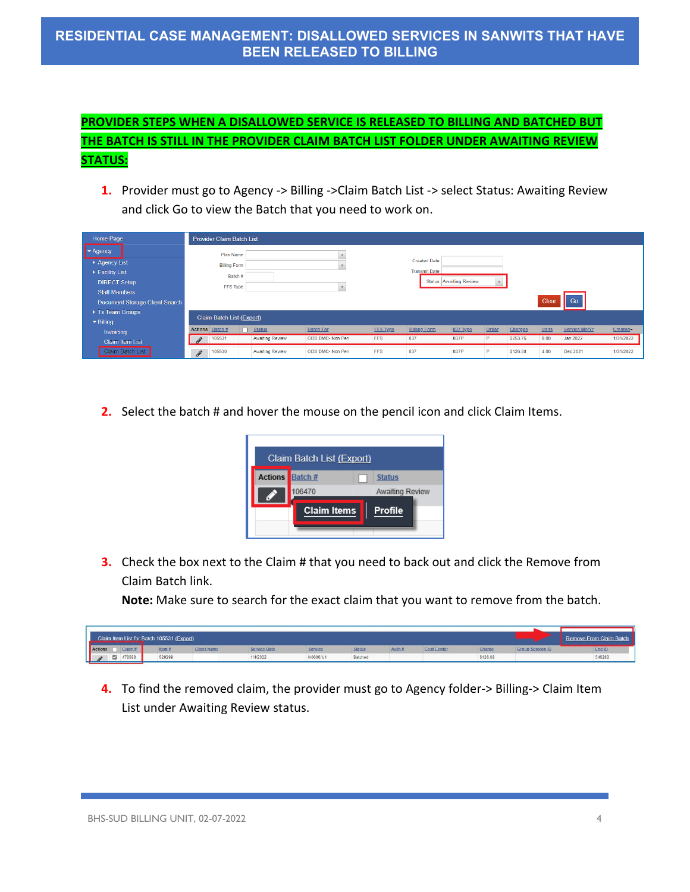# **PROVIDER STEPS WHEN A DISALLOWED SERVICE IS RELEASED TO BILLING AND BATCHED BUT THE BATCH IS STILL IN THE PROVIDER CLAIM BATCH LIST FOLDER UNDER AWAITING REVIEW STATUS:**

**1.** Provider must go to Agency -> Billing -> Claim Batch List -> select Status: Awaiting Review and click Go to view the Batch that you need to work on.

| Home Page                             | <b>Provider Claim Batch List</b> |                 |                        |                   |                 |                      |                        |              |          |              |               |           |
|---------------------------------------|----------------------------------|-----------------|------------------------|-------------------|-----------------|----------------------|------------------------|--------------|----------|--------------|---------------|-----------|
| $\blacktriangleright$ Agency          | Plan Name                        |                 |                        |                   |                 |                      |                        |              |          |              |               |           |
| Agency List                           | <b>Billing Form</b>              |                 |                        |                   |                 | <b>Created Date</b>  |                        |              |          |              |               |           |
| ▶ Facility List                       |                                  | Batch#          |                        |                   |                 | <b>Transmit Date</b> |                        |              |          |              |               |           |
| <b>DIRECT Setup</b>                   |                                  | <b>FFS Type</b> |                        | $-$               |                 |                      | Status Awaiting Review | $\mathbf{v}$ |          |              |               |           |
| <b>Staff Members</b>                  |                                  |                 |                        |                   |                 |                      |                        |              |          |              |               |           |
| <b>Document Storage Client Search</b> |                                  |                 |                        |                   |                 |                      |                        |              |          | Clear        | Go            |           |
| ▶ Tx Team Groups                      |                                  |                 |                        |                   |                 |                      |                        |              |          |              |               |           |
| $\blacktriangleright$ Billing         | Claim Batch List (Export)        |                 |                        |                   |                 |                      |                        |              |          |              |               |           |
| Invoicing                             | Actions Batch#                   |                 | $\Box$ Status          | <b>Batch For</b>  | <b>FFS Type</b> | <b>Billing Form</b>  | 837 Type               | Order        | Charges  | <b>Units</b> | Service Mo/Yr | Created-  |
| <b>Claim Item List</b>                | 105531<br>$\mathscr{L}$          |                 | Awaiting Review        | ODS DMC- Non Peri | <b>FFS</b>      | 837                  | 837P                   | P            | \$253.76 | 8.00         | Jan 2022      | 1/31/2022 |
| Claim Batch List                      | 105530<br><b>P</b>               |                 | <b>Awaiting Review</b> | ODS DMC- Non Peri | <b>FFS</b>      | 837                  | 837P                   | P            | \$126.88 | 4.00         | Dec 2021      | 1/31/2022 |

**2.** Select the batch # and hover the mouse on the pencil icon and click Claim Items.



**3.** Check the box next to the Claim # that you need to back out and click the Remove from Claim Batch link.

**Note:** Make sure to search for the exact claim that you want to remove from the batch.

| Claim Item List for Batch 105531 (Export) |        |                    |                     |          |         |             |                    |               |                         | <b>Remove From Claim Batch</b> |
|-------------------------------------------|--------|--------------------|---------------------|----------|---------|-------------|--------------------|---------------|-------------------------|--------------------------------|
| Claim<br>Actions                          | Item-  | <b>Client Name</b> | <b>Service Date</b> | Service  |         | <b>Auth</b> | <b>Cost Center</b> | <b>Charge</b> | <b>Group Session ID</b> | Enc ID                         |
| a<br>478588                               | 529299 |                    | 1/4/2022            | H0006/U1 | Batched |             |                    | \$126.88      |                         | 546283                         |

**4.** To find the removed claim, the provider must go to Agency folder-> Billing-> Claim Item List under Awaiting Review status.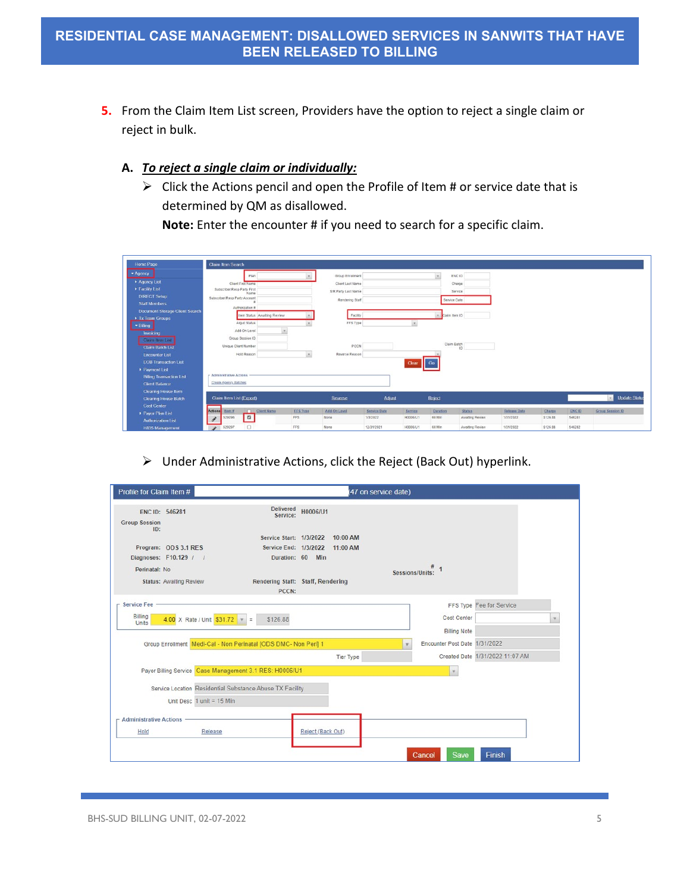**5.** From the Claim Item List screen, Providers have the option to reject a single claim or reject in bulk.

### **A.** *To reject a single claim or individually:*

 $\triangleright$  Click the Actions pencil and open the Profile of Item # or service date that is determined by QM as disallowed.

**Note:** Enter the encounter # if you need to search for a specific claim.

| Home Page                             | Claim Item Search                                                       |                               |                      |                                 |                     |                    |                                  |                                  |                    |                        |                            |
|---------------------------------------|-------------------------------------------------------------------------|-------------------------------|----------------------|---------------------------------|---------------------|--------------------|----------------------------------|----------------------------------|--------------------|------------------------|----------------------------|
| $ightharpoonup$ Agency                | Plan                                                                    |                               | Group Enrollment     |                                 |                     | $\sim$             | ENC ID                           |                                  |                    |                        |                            |
| > Agency List                         | Client First Name                                                       |                               | Client Last Name     |                                 |                     |                    | Charge                           |                                  |                    |                        |                            |
| Facility List                         | Subscriber/Resp Party First<br>Name                                     |                               | S/R Party Last Name  |                                 |                     |                    | Service                          |                                  |                    |                        |                            |
| <b>DIRECT Setup</b>                   | Subscriber/Resp Party Account                                           |                               | Rendering Staff      |                                 |                     | Service Date       |                                  |                                  |                    |                        |                            |
| <b>Staff Members</b>                  | Authorization #                                                         |                               |                      |                                 |                     |                    |                                  |                                  |                    |                        |                            |
| <b>Document Storage Client Search</b> | Item Status Awaiting Review                                             |                               |                      |                                 |                     | Claim Item ID      |                                  |                                  |                    |                        |                            |
| Tx Team Groups                        | Adjud Status                                                            |                               | Facility<br>FFS Type |                                 |                     |                    |                                  |                                  |                    |                        |                            |
| - Billing                             |                                                                         |                               |                      |                                 | ×.                  |                    |                                  |                                  |                    |                        |                            |
| Invoicing                             | Add-On Level                                                            | $\overline{\phantom{a}}$      |                      |                                 |                     |                    |                                  |                                  |                    |                        |                            |
| Claim Item List                       | Group Session ID                                                        |                               |                      |                                 |                     |                    |                                  |                                  |                    |                        |                            |
| <b>Claim Batch List</b>               | Unique Client Number                                                    |                               | PCCN                 |                                 |                     |                    | Claim Batch                      |                                  |                    |                        |                            |
| <b>Encounter List</b>                 | Hold Reason                                                             | $\mathcal{P}$                 | Reverse Reason       |                                 |                     |                    |                                  |                                  |                    |                        |                            |
| <b>EOB Transaction List</b>           |                                                                         |                               |                      |                                 | Clear               | Go                 |                                  |                                  |                    |                        |                            |
| Payment List                          |                                                                         |                               |                      |                                 |                     |                    |                                  |                                  |                    |                        |                            |
| <b>Billing Transaction List</b>       | <b>Administrative Actions</b>                                           |                               |                      |                                 |                     |                    |                                  |                                  |                    |                        |                            |
| <b>Client Balance</b>                 | Create Agency Batches                                                   |                               |                      |                                 |                     |                    |                                  |                                  |                    |                        |                            |
| <b>Clearing House Item</b>            |                                                                         |                               |                      |                                 |                     |                    |                                  |                                  |                    |                        |                            |
| <b>Clearing House Batch</b>           | Claim Item List (Export)                                                |                               | Reverse              | Adjust                          |                     | Reject             |                                  |                                  |                    |                        | <b>Update Status</b><br>P. |
| <b>Cost Center</b>                    |                                                                         |                               |                      |                                 |                     |                    |                                  |                                  |                    |                        |                            |
| Payor Plan List                       | Actions<br>Client Name<br>Item <sub>H</sub><br>$\blacksquare$<br>529296 | <b>EFS Type</b><br><b>FFS</b> | Add-On Level<br>None | <b>Service Date</b><br>1/3/2022 | Service<br>H0006/U1 | Duration<br>60 Min | <b>Status</b><br>Awaiting Review | <b>Release Date</b><br>1/31/2022 | Charge<br>\$126.88 | <b>ENCID</b><br>546281 | <b>Group Session ID</b>    |
| <b>Authorization List</b>             | $\mathcal{S}$                                                           |                               |                      |                                 |                     |                    |                                  |                                  |                    |                        |                            |
| <b>H835 Mananomont</b>                | $\Box$<br>529297<br>$\mathcal{L}$                                       | <b>FFS</b>                    | None                 | 12/31/2021                      | H0005/U1            | 60 Min             | Awaiting Review                  | 1/31/2022                        | \$126.88           | 546282                 |                            |

 $\triangleright$  Under Administrative Actions, click the Reject (Back Out) hyperlink.

| Profile for Claim Item #                      |                                      |                                                                 |                   |                  | (47 on service date) |                                           |                                 |  |
|-----------------------------------------------|--------------------------------------|-----------------------------------------------------------------|-------------------|------------------|----------------------|-------------------------------------------|---------------------------------|--|
| ENC ID: 546281<br><b>Group Session</b><br>ID: |                                      | <b>Delivered</b><br>Service:                                    | H0006/U1          |                  |                      |                                           |                                 |  |
|                                               |                                      | Service Start: 1/3/2022 10:00 AM                                |                   |                  |                      |                                           |                                 |  |
|                                               | Program: ODS 3.1 RES                 | Service End: 1/3/2022 11:00 AM                                  |                   |                  |                      |                                           |                                 |  |
|                                               | Diagnoses: F10.129 / /               |                                                                 | Duration: 60 Min  |                  |                      |                                           |                                 |  |
| Perinatal: No                                 |                                      |                                                                 |                   |                  | Sessions/Units:      |                                           |                                 |  |
|                                               | <b>Status: Awaiting Review</b>       | Rendering Staff: Staff, Rendering<br>PCCN:                      |                   |                  |                      |                                           |                                 |  |
| <b>Service Fee</b>                            |                                      |                                                                 |                   |                  |                      |                                           | FFS Type Fee for Service        |  |
| Billing<br>Units                              | $4.00 \times$ Rate / Unit $531.72$ = | \$126.88                                                        |                   |                  |                      | <b>Cost Center</b><br><b>Billing Note</b> |                                 |  |
|                                               |                                      | Group Enrollment Medi-Cal - Non Perinatal [ODS DMC- Non Peri] 1 |                   |                  |                      | Encounter Post Date 1/31/2022             |                                 |  |
|                                               |                                      |                                                                 |                   | <b>Tier Type</b> |                      |                                           | Created Date 1/31/2022 11:07 AM |  |
|                                               |                                      | Payor Billing Service Case Management 3.1 RES: H0006/U1         |                   |                  |                      | $\pi$                                     |                                 |  |
|                                               |                                      | Service Location Residential Substance Abuse TX Facility        |                   |                  |                      |                                           |                                 |  |
|                                               | Unit Desc $1$ unit = 15 Min          |                                                                 |                   |                  |                      |                                           |                                 |  |
| $-$ Administrative Actions -                  |                                      |                                                                 |                   |                  |                      |                                           |                                 |  |
| Hold                                          | Release                              |                                                                 | Reject (Back Out) |                  |                      |                                           |                                 |  |
|                                               |                                      |                                                                 |                   |                  |                      |                                           |                                 |  |
|                                               |                                      |                                                                 |                   |                  |                      | Save<br>Cancel                            | <b>Finish</b>                   |  |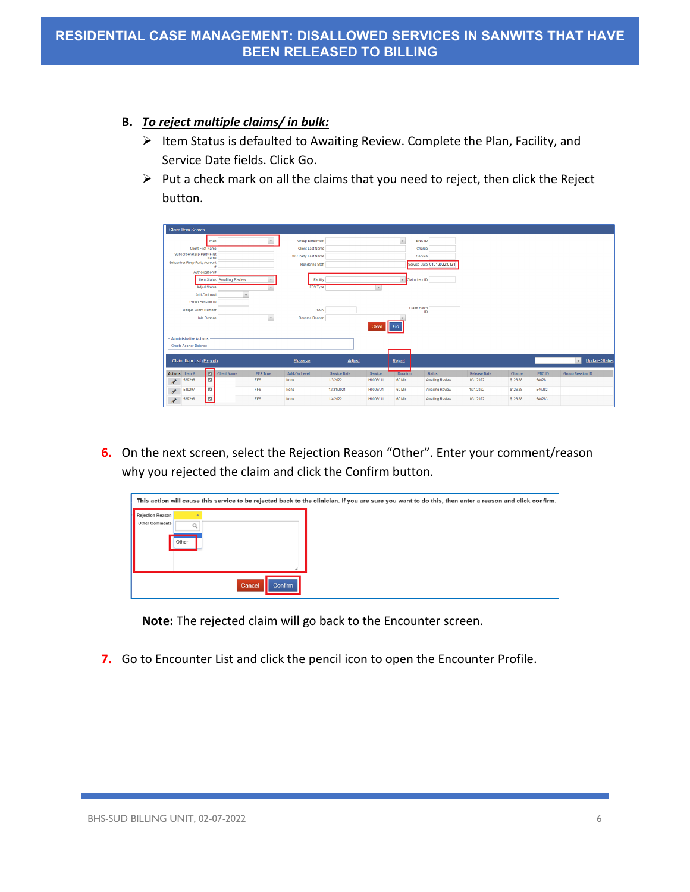### **B.** *To reject multiple claims/ in bulk:*

- $\triangleright$  Item Status is defaulted to Awaiting Review. Complete the Plan, Facility, and Service Date fields. Click Go.
- $\triangleright$  Put a check mark on all the claims that you need to reject, then click the Reject button.

| <b>Claim Item Search</b>                                                                                                                                                                                                                                                                                                                                                                                                        |                |                             |                 |                         |                     |          |                    |                            |                     |          |               |                                      |
|---------------------------------------------------------------------------------------------------------------------------------------------------------------------------------------------------------------------------------------------------------------------------------------------------------------------------------------------------------------------------------------------------------------------------------|----------------|-----------------------------|-----------------|-------------------------|---------------------|----------|--------------------|----------------------------|---------------------|----------|---------------|--------------------------------------|
|                                                                                                                                                                                                                                                                                                                                                                                                                                 | Plan           |                             |                 | <b>Group Enrollment</b> |                     |          |                    | ENC ID                     |                     |          |               |                                      |
| <b>Client First Name</b>                                                                                                                                                                                                                                                                                                                                                                                                        |                |                             |                 | <b>Client Last Name</b> |                     |          |                    | Charge                     |                     |          |               |                                      |
| Subscriber/Resp Party First                                                                                                                                                                                                                                                                                                                                                                                                     |                |                             |                 | S/R Party Last Name     |                     |          |                    | Service                    |                     |          |               |                                      |
| Subscriber/Resp Party Account                                                                                                                                                                                                                                                                                                                                                                                                   | Name           |                             |                 | <b>Rendering Staff</b>  |                     |          |                    | Service Date 01012022:0131 |                     |          |               |                                      |
| Authorization #                                                                                                                                                                                                                                                                                                                                                                                                                 | ٠              |                             |                 |                         |                     |          |                    |                            |                     |          |               |                                      |
|                                                                                                                                                                                                                                                                                                                                                                                                                                 |                |                             |                 |                         |                     |          |                    |                            |                     |          |               |                                      |
|                                                                                                                                                                                                                                                                                                                                                                                                                                 |                | Item Status Awaiting Review |                 | Facility                |                     |          | Claim Item ID      |                            |                     |          |               |                                      |
| <b>Adjud Status</b>                                                                                                                                                                                                                                                                                                                                                                                                             |                |                             |                 | FFS Type                |                     |          |                    |                            |                     |          |               |                                      |
| Add-On Level                                                                                                                                                                                                                                                                                                                                                                                                                    |                | $\mathbf{v}$                |                 |                         |                     |          |                    |                            |                     |          |               |                                      |
| Group Session ID                                                                                                                                                                                                                                                                                                                                                                                                                |                |                             |                 |                         |                     |          | <b>Claim Batch</b> |                            |                     |          |               |                                      |
| <b>Unlaue Client Number</b>                                                                                                                                                                                                                                                                                                                                                                                                     |                |                             |                 | PCCN                    |                     |          |                    | ID                         |                     |          |               |                                      |
| <b>Hold Reason</b>                                                                                                                                                                                                                                                                                                                                                                                                              |                |                             | $\mathbf v$     | Reverse Reason          |                     |          |                    |                            |                     |          |               |                                      |
|                                                                                                                                                                                                                                                                                                                                                                                                                                 |                |                             |                 |                         |                     | Clear    | Go                 |                            |                     |          |               |                                      |
| - Administrative Actions                                                                                                                                                                                                                                                                                                                                                                                                        |                |                             |                 |                         |                     |          |                    |                            |                     |          |               |                                      |
| <b>Create Agency Batches</b>                                                                                                                                                                                                                                                                                                                                                                                                    |                |                             |                 |                         |                     |          |                    |                            |                     |          |               |                                      |
|                                                                                                                                                                                                                                                                                                                                                                                                                                 |                |                             |                 |                         |                     |          |                    |                            |                     |          |               |                                      |
| Claim Item List (Export)                                                                                                                                                                                                                                                                                                                                                                                                        |                |                             |                 | Reverse                 | <b>Adjust</b>       |          | Reject             |                            |                     |          |               | <b>Update Status</b><br>$\mathbf{v}$ |
| <b>Actions</b><br>Item $#$                                                                                                                                                                                                                                                                                                                                                                                                      | $\boxed{2}$    | <b>Client Name</b>          | <b>FFS Type</b> | Add-On Level            | <b>Service Date</b> | Service  | Duration           | <b>Status</b>              | <b>Release Date</b> | Charge   | <b>ENC ID</b> | <b>Group Session ID</b>              |
| 529296<br>$\begin{picture}(220,20) \put(0,0){\dashbox{0.5}(20,0){ }} \thicklines \put(0,0){\dashbox{0.5}(20,0){ }} \thicklines \put(0,0){\dashbox{0.5}(20,0){ }} \thicklines \put(0,0){\dashbox{0.5}(20,0){ }} \thicklines \put(0,0){\dashbox{0.5}(20,0){ }} \thicklines \put(0,0){\dashbox{0.5}(20,0){ }} \thicklines \put(0,0){\dashbox{0.5}(20,0){ }} \thicklines \put(0,0){\dashbox{0.5}(20,0){ }} \thicklines \put(0,0){\$ | $\blacksquare$ |                             | <b>FFS</b>      | None                    | 1/3/2022            | H0006/U1 | 60 Min             | Awaiting Review            | 1/31/2022           | \$126.88 | 546281        |                                      |
|                                                                                                                                                                                                                                                                                                                                                                                                                                 |                |                             |                 | None                    |                     |          |                    |                            |                     |          |               |                                      |
| 529297<br>s.                                                                                                                                                                                                                                                                                                                                                                                                                    | $\blacksquare$ |                             | <b>FFS</b>      |                         | 12/31/2021          | H0006/U1 | 60 Min             | Awaiting Review            | 1/31/2022           | \$126.88 | 546282        |                                      |
|                                                                                                                                                                                                                                                                                                                                                                                                                                 |                |                             |                 |                         |                     |          |                    |                            |                     |          |               |                                      |

**6.** On the next screen, select the Rejection Reason "Other". Enter your comment/reason why you rejected the claim and click the Confirm button.

|                                                         |                   | This action will cause this service to be rejected back to the clinician. If you are sure you want to do this, then enter a reason and click confirm. |
|---------------------------------------------------------|-------------------|-------------------------------------------------------------------------------------------------------------------------------------------------------|
| Rejection Reason<br>Other Comments<br>$\Omega$<br>Other |                   |                                                                                                                                                       |
|                                                         | Cancel<br>Confirm |                                                                                                                                                       |

**Note:** The rejected claim will go back to the Encounter screen.

**7.** Go to Encounter List and click the pencil icon to open the Encounter Profile.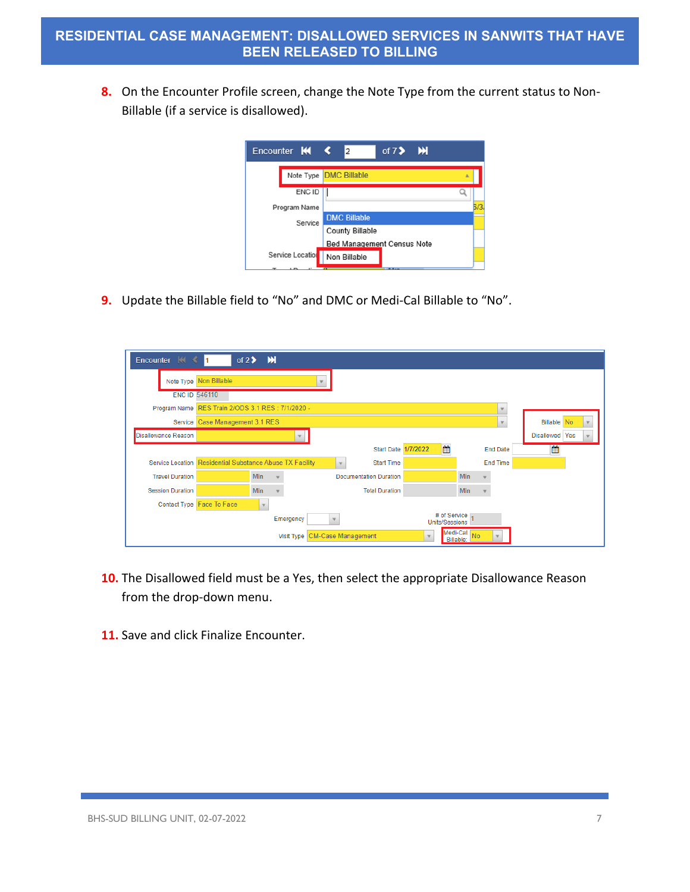**8.** On the Encounter Profile screen, change the Note Type from the current status to Non-Billable (if a service is disallowed).



**9.** Update the Billable field to "No" and DMC or Medi-Cal Billable to "No".

| Encounter K <              | I1                                                       | of $2$ > $M$ |            |                               |                                |                 |                          |                                    |
|----------------------------|----------------------------------------------------------|--------------|------------|-------------------------------|--------------------------------|-----------------|--------------------------|------------------------------------|
|                            | Note Type Non Billable                                   |              |            |                               |                                |                 |                          |                                    |
|                            | <b>ENC ID 546110</b>                                     |              |            |                               |                                |                 |                          |                                    |
|                            | Program Name RES Train 2/ODS 3.1 RES : 7/1/2020 -        |              |            |                               |                                |                 | $\overline{\phantom{a}}$ |                                    |
|                            | Service Case Management 3.1 RES                          |              |            |                               |                                |                 | $\overline{\phantom{a}}$ | <b>Billable</b> No<br>$\mathbf{v}$ |
| <b>Disallowance Reason</b> |                                                          |              |            |                               |                                |                 |                          | Disallowed Yes                     |
|                            |                                                          |              |            | Start Date 1/7/2022           | 雦                              | <b>End Date</b> |                          | 曲                                  |
|                            | Service Location Residential Substance Abuse TX Facility |              |            | <b>Start Time</b>             |                                | <b>End Time</b> |                          |                                    |
| <b>Travel Duration</b>     |                                                          | Min          |            | <b>Documentation Duration</b> | <b>Min</b>                     |                 |                          |                                    |
| <b>Session Duration</b>    |                                                          | Min          |            | <b>Total Duration</b>         | <b>Min</b>                     |                 |                          |                                    |
|                            | Contact Type Face To Face                                |              |            |                               |                                |                 |                          |                                    |
|                            |                                                          |              | Emergency  |                               | # of Service<br>Units/Sessions |                 |                          |                                    |
|                            |                                                          |              | Visit Type | <b>CM-Case Management</b>     | Medi-Cal No<br>Billable:       |                 |                          |                                    |

- **10.** The Disallowed field must be a Yes, then select the appropriate Disallowance Reason from the drop-down menu.
- **11.** Save and click Finalize Encounter.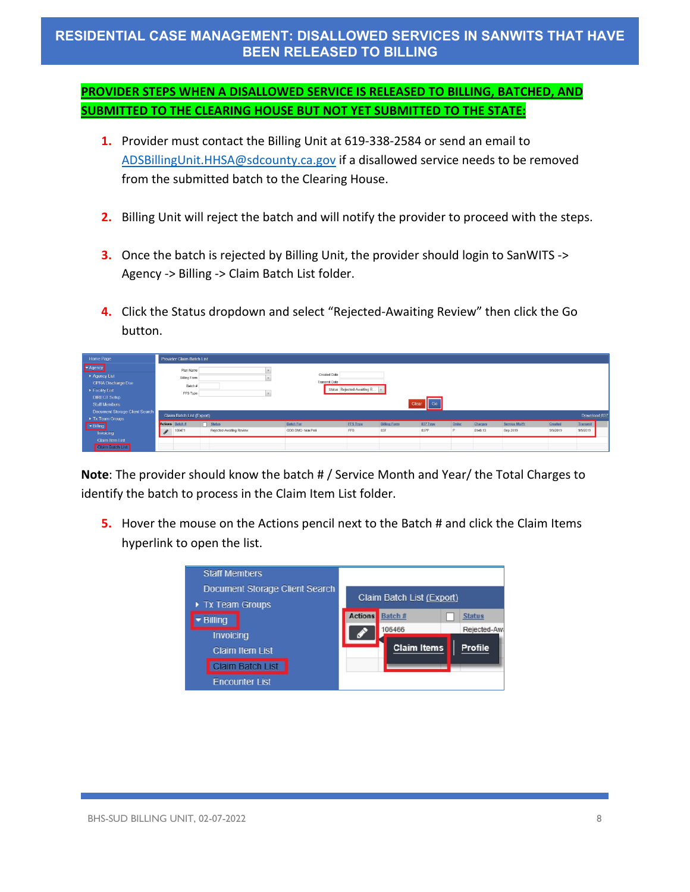# **RESIDENTIAL CASE MANAGEMENT: DISALLOWED SERVICES IN SANWITS THAT HAVE BEEN RELEASED TO BILLING**

## **PROVIDER STEPS WHEN A DISALLOWED SERVICE IS RELEASED TO BILLING, BATCHED, AND SUBMITTED TO THE CLEARING HOUSE BUT NOT YET SUBMITTED TO THE STATE:**

- **1.** Provider must contact the Billing Unit at 619-338-2584 or send an email to [ADSBillingUnit.HHSA@sdcounty.ca.gov](mailto:ADSBillingUnit.HHSA@sdcounty.ca.gov) if a disallowed service needs to be removed from the submitted batch to the Clearing House.
- **2.** Billing Unit will reject the batch and will notify the provider to proceed with the steps.
- **3.** Once the batch is rejected by Billing Unit, the provider should login to SanWITS -> Agency -> Billing -> Claim Batch List folder.
- **4.** Click the Status dropdown and select "Rejected-Awaiting Review" then click the Go button.

| Home Page                                                                                                          |          | Provider Claim Batch List                               |                                           |                                       |                              |                            |                  |            |                     |                           |                     |                      |  |
|--------------------------------------------------------------------------------------------------------------------|----------|---------------------------------------------------------|-------------------------------------------|---------------------------------------|------------------------------|----------------------------|------------------|------------|---------------------|---------------------------|---------------------|----------------------|--|
| Agency<br>Agency List<br><b>GPRA Discharge Due</b><br>Facility List<br><b>DIRECT Setup</b><br><b>Staff Members</b> |          | Plan Name<br><b>Billing Form</b><br>Batch #<br>FFS Type |                                           | Created Date<br>Transmit Date         | Status Rejected-Awaiting R v | Clear                      | Go               |            |                     |                           |                     |                      |  |
| <b>Document Storage Client Search</b><br>Tx Team Groups                                                            |          | Claim Batch List (Export)                               |                                           |                                       |                              |                            |                  |            |                     |                           |                     | Download 837         |  |
| v Billing<br>Invoicing                                                                                             | $\sigma$ | Actions Batch #<br>106471                               | $\Box$ Status<br>Rejected-Awaiting Review | <b>Batch For</b><br>ODS DMC- Non Peri | <b>FFS Type</b><br>FFS       | <b>Billing Form</b><br>837 | 837 Type<br>837P | Order<br>D | Charges<br>\$148.13 | Service Mo/Yr<br>Sep 2019 | Created<br>9/9/2019 | Transmit<br>9/9/2019 |  |
| <b>Claim Item List</b><br>Claim Batch List                                                                         |          |                                                         |                                           |                                       |                              |                            |                  |            |                     |                           |                     |                      |  |

**Note**: The provider should know the batch # / Service Month and Year/ the Total Charges to identify the batch to process in the Claim Item List folder.

**5.** Hover the mouse on the Actions pencil next to the Batch # and click the Claim Items hyperlink to open the list.

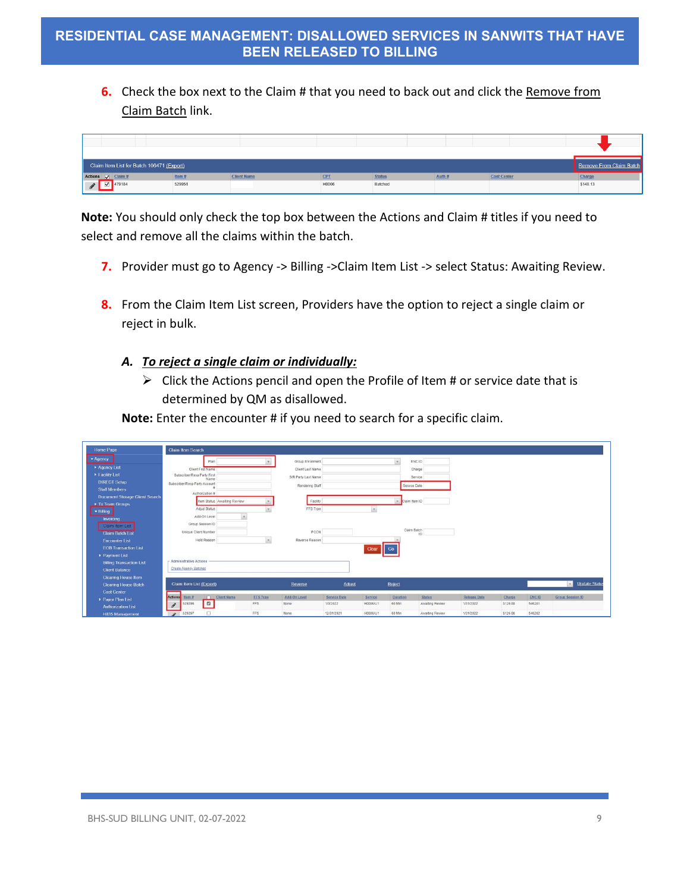**6.** Check the box next to the Claim # that you need to back out and click the Remove from Claim Batch link.



**Note:** You should only check the top box between the Actions and Claim # titles if you need to select and remove all the claims within the batch.

- **7.** Provider must go to Agency -> Billing -> Claim Item List -> select Status: Awaiting Review.
- **8.** From the Claim Item List screen, Providers have the option to reject a single claim or reject in bulk.

### *A. To reject a single claim or individually:*

 $\triangleright$  Click the Actions pencil and open the Profile of Item # or service date that is determined by QM as disallowed.

**Note:** Enter the encounter # if you need to search for a specific claim.

| Home Page                             | Claim Item Search                                            |                                       |                     |                                 |                     |                    |                                  |                                  |                    |                        |                               |
|---------------------------------------|--------------------------------------------------------------|---------------------------------------|---------------------|---------------------------------|---------------------|--------------------|----------------------------------|----------------------------------|--------------------|------------------------|-------------------------------|
| $ightharpoonup$ Agency                | Plan                                                         |                                       | Group Enrollment    |                                 |                     | $\mathcal{F}$      | ENC ID                           |                                  |                    |                        |                               |
| Agency List                           | Client First Name                                            |                                       | Client Last Name    |                                 |                     |                    | Charge                           |                                  |                    |                        |                               |
| Facility List                         | Subscriber/Resp Party First<br>Name                          |                                       | S/R Party Last Name |                                 |                     |                    | Service                          |                                  |                    |                        |                               |
| <b>DIRECT Setup</b>                   | Subscriber/Resp Party Account                                |                                       | Rendering Staff     |                                 |                     | Service Date       |                                  |                                  |                    |                        |                               |
| <b>Staff Members</b>                  | Authorization #                                              |                                       |                     |                                 |                     |                    |                                  |                                  |                    |                        |                               |
| <b>Document Storage Client Search</b> | Item Status Awaiting Review                                  |                                       | Facility            |                                 |                     | Claim Item ID      |                                  |                                  |                    |                        |                               |
| Tx Team Groups                        | Adjud Status                                                 |                                       |                     |                                 |                     |                    |                                  |                                  |                    |                        |                               |
| · Billing                             | Add-On Level                                                 |                                       | FFS Type            |                                 |                     |                    |                                  |                                  |                    |                        |                               |
| Invoicing                             |                                                              |                                       |                     |                                 |                     |                    |                                  |                                  |                    |                        |                               |
| Claim Item List                       | Group Session ID                                             |                                       |                     |                                 |                     | Claim Batch        |                                  |                                  |                    |                        |                               |
| <b>Claim Batch List</b>               | Unique Client Number                                         |                                       | PCCN                |                                 |                     |                    | ID                               |                                  |                    |                        |                               |
| <b>Encounter List</b>                 | Hold Reason                                                  | $\tau$                                | Reverse Reason      |                                 |                     |                    |                                  |                                  |                    |                        |                               |
| <b>EOB Transaction List</b>           |                                                              |                                       |                     |                                 | Clear               | Go                 |                                  |                                  |                    |                        |                               |
| Payment List                          |                                                              |                                       |                     |                                 |                     |                    |                                  |                                  |                    |                        |                               |
| <b>Billing Transaction List</b>       | - Administrative Actions                                     |                                       |                     |                                 |                     |                    |                                  |                                  |                    |                        |                               |
| <b>Client Balance</b>                 | Create Agency Batches                                        |                                       |                     |                                 |                     |                    |                                  |                                  |                    |                        |                               |
| <b>Clearing House Item</b>            |                                                              |                                       |                     |                                 |                     |                    |                                  |                                  |                    |                        |                               |
| <b>Clearing House Batch</b>           | Claim Item List (Export)                                     |                                       | Reverse             | Adjust                          |                     | Reject             |                                  |                                  |                    |                        | <b>Update Statu</b><br>$\sim$ |
| <b>Cost Center</b>                    |                                                              |                                       |                     |                                 |                     |                    |                                  |                                  |                    |                        |                               |
| Payor Plan List                       | Actions<br>Client Name<br>Item #<br>$\blacksquare$<br>529296 | <b>FFS Type</b><br><b>FFS</b><br>None | Add-On Level        | <b>Service Date</b><br>1/3/2022 | Service<br>H0006/U1 | Duration<br>60 Min | <b>Status</b><br>Awaiting Review | <b>Release Date</b><br>1/31/2022 | Charge<br>\$126.88 | <b>ENCID</b><br>546281 | <b>Group Session ID</b>       |
| <b>Authorization List</b>             | $\begin{array}{c} \bullet \\ \bullet \end{array}$            |                                       |                     |                                 |                     |                    |                                  |                                  |                    |                        |                               |
| <b>H835 Management</b>                | $\Box$<br>529297<br>$\mathbf{r}$                             | FFS<br>None                           |                     | 12/31/2021                      | H0005/U1            | 60 Min             | Awaiting Review                  | 1/31/2022                        | \$126.88           | 546282                 |                               |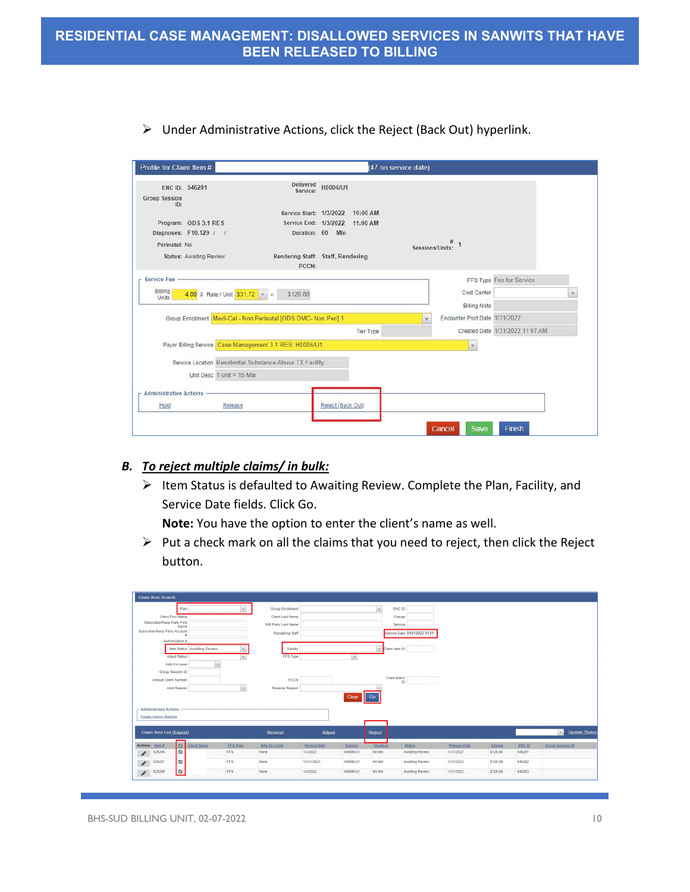| Profile for Claim Item #                      |                                |                                                                 |                   |                  | (47 on service date) |                                                      |                                 |  |
|-----------------------------------------------|--------------------------------|-----------------------------------------------------------------|-------------------|------------------|----------------------|------------------------------------------------------|---------------------------------|--|
| ENC ID: 546281<br><b>Group Session</b><br>ID: |                                | <b>Delivered</b><br>Service:                                    | H0006/U1          |                  |                      |                                                      |                                 |  |
|                                               |                                | Service Start: 1/3/2022 10:00 AM                                |                   |                  |                      |                                                      |                                 |  |
|                                               | Program: ODS 3.1 RES           | Service End: 1/3/2022 11:00 AM                                  |                   |                  |                      |                                                      |                                 |  |
|                                               | Diagnoses: F10.129 / /         | Duration: 60 Min                                                |                   |                  |                      |                                                      |                                 |  |
| Perinatal: No                                 |                                |                                                                 |                   |                  | Sessions/Units:      |                                                      |                                 |  |
|                                               | <b>Status: Awaiting Review</b> | Rendering Staff: Staff, Rendering<br>PCCN:                      |                   |                  |                      |                                                      |                                 |  |
| <b>Service Fee</b>                            |                                |                                                                 |                   |                  |                      |                                                      | FFS Type Fee for Service        |  |
| Billing<br><b>Units</b>                       | 4.00 X Rate / Unit $$31.72$ =  | \$126.88                                                        |                   |                  |                      | Cost Center                                          |                                 |  |
|                                               |                                | Group Enrollment Medi-Cal - Non Perinatal [ODS DMC- Non Peri] 1 |                   |                  |                      | <b>Billing Note</b><br>Encounter Post Date 1/31/2022 |                                 |  |
|                                               |                                |                                                                 |                   |                  |                      |                                                      |                                 |  |
|                                               |                                |                                                                 |                   | <b>Tier Type</b> |                      |                                                      | Created Date 1/31/2022 11:07 AM |  |
|                                               |                                | Payor Billing Service Case Management 3.1 RES: H0006/U1         |                   |                  |                      | $\pi$                                                |                                 |  |
|                                               |                                | Service Location Residential Substance Abuse TX Facility        |                   |                  |                      |                                                      |                                 |  |
|                                               | Unit Desc $1$ unit = 15 Min    |                                                                 |                   |                  |                      |                                                      |                                 |  |
| $-$ Administrative Actions                    |                                |                                                                 |                   |                  |                      |                                                      |                                 |  |
| Hold                                          | Release                        |                                                                 | Reject (Back Out) |                  |                      |                                                      |                                 |  |
|                                               |                                |                                                                 |                   |                  |                      |                                                      |                                 |  |
|                                               |                                |                                                                 |                   |                  |                      | <b>Save</b><br>Cancel                                | Finish                          |  |

 $\triangleright$  Under Administrative Actions, click the Reject (Back Out) hyperlink.

### *B. To reject multiple claims/ in bulk:*

 $\triangleright$  Item Status is defaulted to Awaiting Review. Complete the Plan, Facility, and Service Date fields. Click Go.

**Note:** You have the option to enter the client's name as well.

 $\triangleright$  Put a check mark on all the claims that you need to reject, then click the Reject button.

| <b>Claim Item Search</b>      |                             |                             |                 |                         |              |             |                 |                            |                     |          |        |                                      |
|-------------------------------|-----------------------------|-----------------------------|-----------------|-------------------------|--------------|-------------|-----------------|----------------------------|---------------------|----------|--------|--------------------------------------|
|                               | Plan                        |                             |                 | <b>Group Enrollment</b> |              |             |                 | ENC ID                     |                     |          |        |                                      |
|                               | <b>Client First Name</b>    |                             |                 | <b>Client Last Name</b> |              |             |                 | Charge                     |                     |          |        |                                      |
| Subscriber/Resp Party First   | Name                        |                             |                 | S/R Party Last Name     |              |             |                 | Service                    |                     |          |        |                                      |
| Subscriber/Resp Party Account |                             |                             |                 | <b>Rendering Staff</b>  |              |             |                 | Service Date 01012022:0131 |                     |          |        |                                      |
|                               | Authorization #             |                             |                 |                         |              |             |                 |                            |                     |          |        |                                      |
|                               |                             | Item Status Awaiting Review |                 | Facility                |              |             | Claim Item ID   |                            |                     |          |        |                                      |
|                               | <b>Adjud Status</b>         |                             |                 | FFS Type                |              | $\mathbf v$ |                 |                            |                     |          |        |                                      |
|                               | Add-On Level                | ٠                           |                 |                         |              |             |                 |                            |                     |          |        |                                      |
|                               | Group Session ID            |                             |                 |                         |              |             |                 |                            |                     |          |        |                                      |
|                               | <b>Unique Client Number</b> |                             |                 | PCCN                    |              |             | Claim Batch     | ID                         |                     |          |        |                                      |
|                               | <b>Hold Reason</b>          |                             | $\mathbf{v}$    | Reverse Reason          |              |             |                 |                            |                     |          |        |                                      |
|                               |                             |                             |                 |                         |              | Clear       |                 |                            |                     |          |        |                                      |
|                               |                             |                             |                 |                         |              |             |                 |                            |                     |          |        |                                      |
| <b>Administrative Actions</b> |                             |                             |                 |                         |              |             |                 |                            |                     |          |        |                                      |
| Create Agency Batches         |                             |                             |                 |                         |              |             |                 |                            |                     |          |        |                                      |
| Claim Item List (Export)      |                             |                             |                 | Reverse                 | Adjust       |             |                 |                            |                     |          |        | <b>Update Status</b><br>$\mathbf{v}$ |
|                               |                             |                             |                 |                         |              |             | Reject          |                            |                     |          |        |                                      |
| Actions Item #                | $\boxed{v}$                 | <b>Client Name</b>          | <b>FFS Type</b> | Add-On Level            | Service Date | Service     | <b>Duration</b> | <b>Status</b>              | <b>Release Date</b> | Charge   | ENC ID | <b>Group Session ID</b>              |
| 529296<br><b>P</b>            | $\blacksquare$              |                             | <b>FFS</b>      | None                    | 1/3/2022     | H0006/U1    | 60 Min          | <b>Awaiting Review</b>     | 1/31/2022           | \$126.88 | 546281 |                                      |
| 529297<br>s.                  | $\Box$                      |                             | <b>FFS</b>      | None                    | 12/31/2021   | H0006/U1    | 60 Min          | <b>Awaiting Review</b>     | 1/31/2022           | \$126.88 | 546282 |                                      |
| 529298<br>i                   | $\blacksquare$              |                             | <b>FFS</b>      | None                    | 1/4/2022     | H0006/U1    | 60 Min          | Awaiting Review            | 1/31/2022           | \$126.88 | 546283 |                                      |
|                               |                             |                             |                 |                         |              |             |                 |                            |                     |          |        |                                      |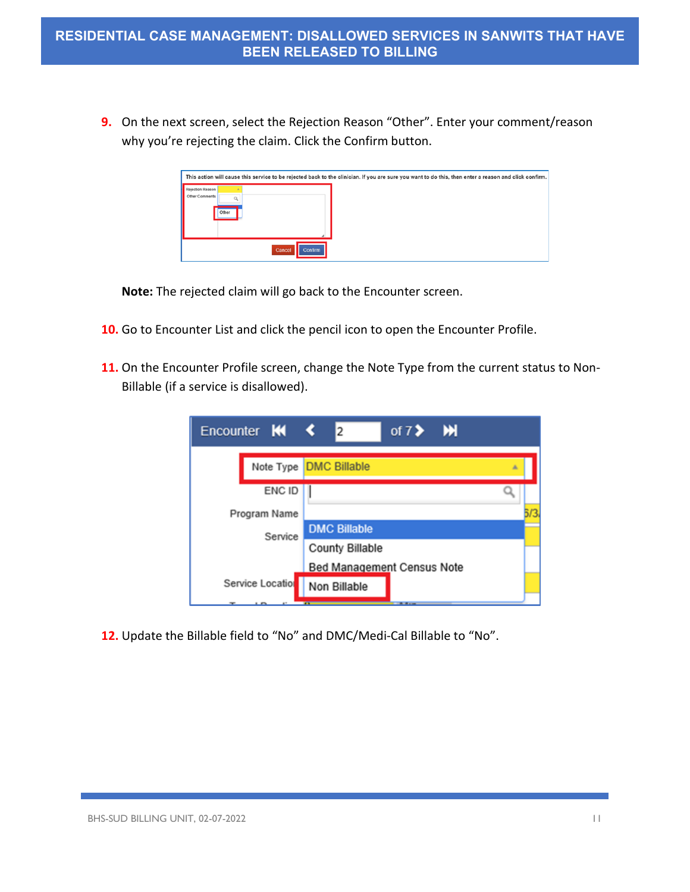**9.** On the next screen, select the Rejection Reason "Other". Enter your comment/reason why you're rejecting the claim. Click the Confirm button.

|                  |       |                   | This action will cause this service to be rejected back to the clinician. If you are sure you want to do this, then enter a reason and click confirm. |
|------------------|-------|-------------------|-------------------------------------------------------------------------------------------------------------------------------------------------------|
|                  |       |                   |                                                                                                                                                       |
| Rejection Reason |       |                   |                                                                                                                                                       |
| Other Comments   |       |                   |                                                                                                                                                       |
|                  |       |                   |                                                                                                                                                       |
|                  | Other |                   |                                                                                                                                                       |
|                  |       |                   |                                                                                                                                                       |
|                  |       |                   |                                                                                                                                                       |
|                  |       |                   |                                                                                                                                                       |
|                  |       |                   |                                                                                                                                                       |
|                  |       | Cancel<br>Confirm |                                                                                                                                                       |

**Note:** The rejected claim will go back to the Encounter screen.

- **10.** Go to Encounter List and click the pencil icon to open the Encounter Profile.
- **11.** On the Encounter Profile screen, change the Note Type from the current status to Non-Billable (if a service is disallowed).

| Encounter <b>KK &lt;</b> | of $7$ > $M$<br>$\overline{2}$     |
|--------------------------|------------------------------------|
|                          | Note Type <b>DMC Billable</b><br>五 |
| ENC ID                   |                                    |
| Program Name             |                                    |
| Service                  | <b>DMC Billable</b>                |
|                          | <b>County Billable</b>             |
|                          | <b>Bed Management Census Note</b>  |
| Service Location         | Non Billable                       |
|                          |                                    |

**12.** Update the Billable field to "No" and DMC/Medi-Cal Billable to "No".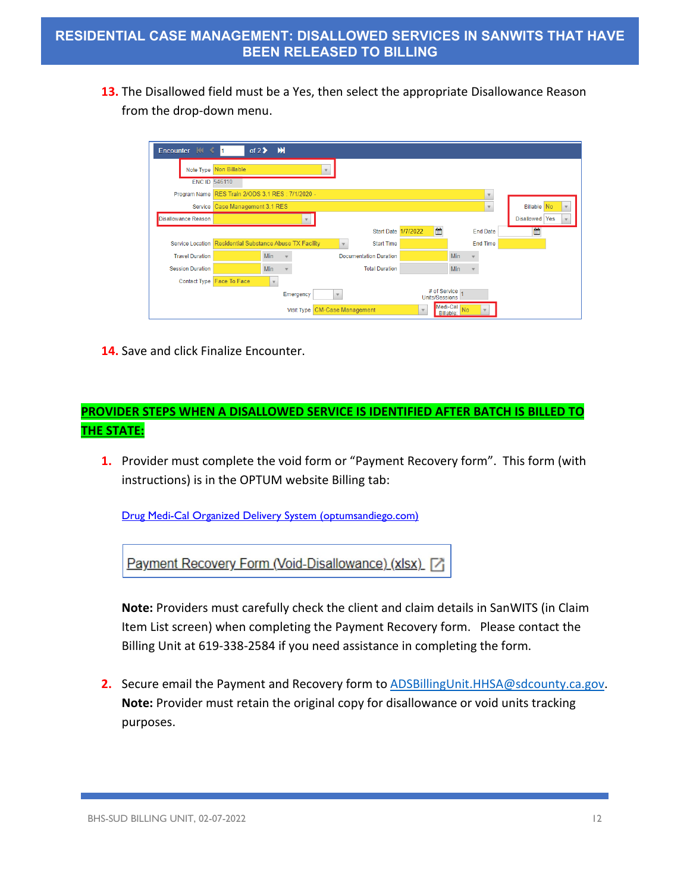**13.** The Disallowed field must be a Yes, then select the appropriate Disallowance Reason from the drop-down menu.

| Encounter $\mathbb{N} \leftarrow$ 1 |                                                          | of $2 \triangleright$ $M$ |                               |              |                               |                       |                                         |                 |                    |
|-------------------------------------|----------------------------------------------------------|---------------------------|-------------------------------|--------------|-------------------------------|-----------------------|-----------------------------------------|-----------------|--------------------|
|                                     | Note Type Non Billable                                   |                           |                               | $\mathbf{v}$ |                               |                       |                                         |                 |                    |
|                                     | <b>ENC ID 546110</b>                                     |                           |                               |              |                               |                       |                                         |                 |                    |
|                                     | Program Name RES Train 2/ODS 3.1 RES : 7/1/2020 -        |                           |                               |              |                               |                       |                                         | ٠               |                    |
| Service                             | Case Management 3.1 RES                                  |                           |                               |              |                               |                       |                                         | $\mathbf{v}$    | <b>Billable</b> No |
| <b>Disallowance Reason</b>          |                                                          |                           |                               |              |                               |                       |                                         |                 | Disallowed Yes     |
|                                     |                                                          |                           |                               |              | <b>Start Date 1/7/2022</b>    | 曲                     |                                         | <b>End Date</b> | 曲                  |
|                                     | Service Location Residential Substance Abuse TX Facility |                           |                               |              | <b>Start Time</b>             |                       |                                         | <b>End Time</b> |                    |
| <b>Travel Duration</b>              |                                                          | Min                       |                               |              | <b>Documentation Duration</b> |                       | Min                                     |                 |                    |
| <b>Session Duration</b>             |                                                          | Min                       |                               |              | <b>Total Duration</b>         |                       | Min                                     |                 |                    |
|                                     | Contact Type Face To Face                                | $\rightarrow$             |                               |              |                               |                       |                                         |                 |                    |
|                                     |                                                          |                           | Emergency                     | $\mathbf{v}$ |                               | <b>Units/Sessions</b> | # of Service                            |                 |                    |
|                                     |                                                          |                           | Visit Type CM-Case Management |              |                               | $\mathbf{v}$          | Medi-Cal<br>N <sub>o</sub><br>Billable: |                 |                    |

**14.** Save and click Finalize Encounter.

### **PROVIDER STEPS WHEN A DISALLOWED SERVICE IS IDENTIFIED AFTER BATCH IS BILLED TO THE STATE:**

**1.** Provider must complete the void form or "Payment Recovery form". This form (with instructions) is in the OPTUM website Billing tab:

[Drug Medi-Cal Organized Delivery System \(optumsandiego.com\)](https://www.optumsandiego.com/content/sandiego/en/county-staff---providers/dmc-ods.html)



**Note:** Providers must carefully check the client and claim details in SanWITS (in Claim Item List screen) when completing the Payment Recovery form. Please contact the Billing Unit at 619-338-2584 if you need assistance in completing the form.

**2.** Secure email the Payment and Recovery form to **ADSBillingUnit.HHSA@sdcounty.ca.gov. Note:** Provider must retain the original copy for disallowance or void units tracking purposes.